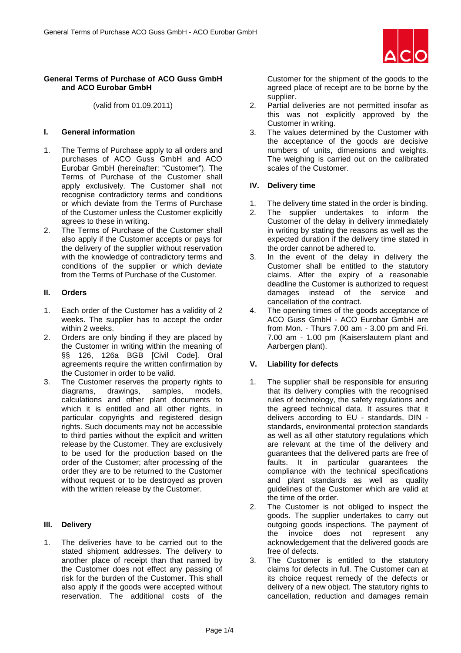

(valid from 01.09.2011)

### **I. General information**

- 1. The Terms of Purchase apply to all orders and purchases of ACO Guss GmbH and ACO Eurobar GmbH (hereinafter: "Customer"). The Terms of Purchase of the Customer shall apply exclusively. The Customer shall not recognise contradictory terms and conditions or which deviate from the Terms of Purchase of the Customer unless the Customer explicitly agrees to these in writing.
- 2. The Terms of Purchase of the Customer shall also apply if the Customer accepts or pays for the delivery of the supplier without reservation with the knowledge of contradictory terms and conditions of the supplier or which deviate from the Terms of Purchase of the Customer.

### **II. Orders**

- 1. Each order of the Customer has a validity of 2 weeks. The supplier has to accept the order within 2 weeks.
- 2. Orders are only binding if they are placed by the Customer in writing within the meaning of §§ 126, 126a BGB [Civil Code]. Oral agreements require the written confirmation by the Customer in order to be valid.
- 3. The Customer reserves the property rights to diagrams, drawings, samples, models, calculations and other plant documents to which it is entitled and all other rights, in particular copyrights and registered design rights. Such documents may not be accessible to third parties without the explicit and written release by the Customer. They are exclusively to be used for the production based on the order of the Customer; after processing of the order they are to be returned to the Customer without request or to be destroyed as proven with the written release by the Customer.

#### **III. Delivery**

1. The deliveries have to be carried out to the stated shipment addresses. The delivery to another place of receipt than that named by the Customer does not effect any passing of risk for the burden of the Customer. This shall also apply if the goods were accepted without reservation. The additional costs of the Customer for the shipment of the goods to the agreed place of receipt are to be borne by the supplier.

- 2. Partial deliveries are not permitted insofar as this was not explicitly approved by the Customer in writing.
- 3. The values determined by the Customer with the acceptance of the goods are decisive numbers of units, dimensions and weights. The weighing is carried out on the calibrated scales of the Customer.

### **IV. Delivery time**

- 1. The delivery time stated in the order is binding.
- 2. The supplier undertakes to inform the Customer of the delay in delivery immediately in writing by stating the reasons as well as the expected duration if the delivery time stated in the order cannot be adhered to.
- 3. In the event of the delay in delivery the Customer shall be entitled to the statutory claims. After the expiry of a reasonable deadline the Customer is authorized to request damages instead of the service and cancellation of the contract.
- 4. The opening times of the goods acceptance of ACO Guss GmbH - ACO Eurobar GmbH are from Mon. - Thurs 7.00 am - 3.00 pm and Fri. 7.00 am - 1.00 pm (Kaiserslautern plant and Aarbergen plant).

# **V. Liability for defects**

- 1. The supplier shall be responsible for ensuring that its delivery complies with the recognised rules of technology, the safety regulations and the agreed technical data. It assures that it delivers according to EU - standards, DIN standards, environmental protection standards as well as all other statutory regulations which are relevant at the time of the delivery and guarantees that the delivered parts are free of faults. It in particular guarantees the compliance with the technical specifications and plant standards as well as quality guidelines of the Customer which are valid at the time of the order.
- 2. The Customer is not obliged to inspect the goods. The supplier undertakes to carry out outgoing goods inspections. The payment of the invoice does not represent any acknowledgement that the delivered goods are free of defects.
- 3. The Customer is entitled to the statutory claims for defects in full. The Customer can at its choice request remedy of the defects or delivery of a new object. The statutory rights to cancellation, reduction and damages remain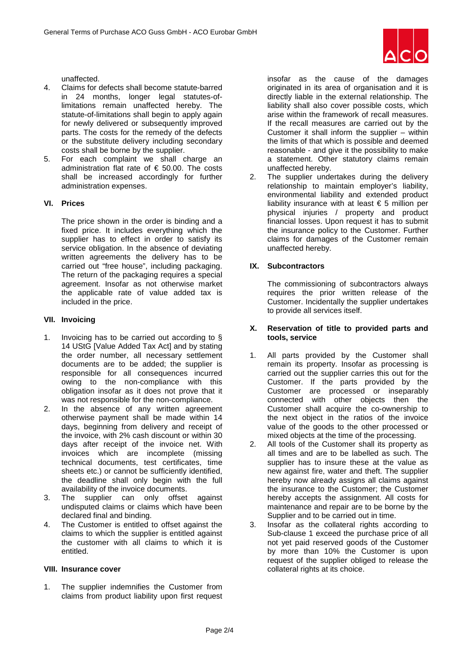

unaffected.

- 4. Claims for defects shall become statute-barred in 24 months, longer legal statutes-oflimitations remain unaffected hereby. The statute-of-limitations shall begin to apply again for newly delivered or subsequently improved parts. The costs for the remedy of the defects or the substitute delivery including secondary costs shall be borne by the supplier.
- 5. For each complaint we shall charge an administration flat rate of  $\epsilon$  50.00. The costs shall be increased accordingly for further administration expenses.

# **VI. Prices**

The price shown in the order is binding and a fixed price. It includes everything which the supplier has to effect in order to satisfy its service obligation. In the absence of deviating written agreements the delivery has to be carried out "free house", including packaging. The return of the packaging requires a special agreement. Insofar as not otherwise market the applicable rate of value added tax is included in the price.

# **VII. Invoicing**

- 1. Invoicing has to be carried out according to § 14 UStG [Value Added Tax Act] and by stating the order number, all necessary settlement documents are to be added; the supplier is responsible for all consequences incurred owing to the non-compliance with this obligation insofar as it does not prove that it was not responsible for the non-compliance.
- 2. In the absence of any written agreement otherwise payment shall be made within 14 days, beginning from delivery and receipt of the invoice, with 2% cash discount or within 30 days after receipt of the invoice net. With invoices which are incomplete (missing technical documents, test certificates, time sheets etc.) or cannot be sufficiently identified, the deadline shall only begin with the full availability of the invoice documents.
- 3. The supplier can only offset against undisputed claims or claims which have been declared final and binding.
- 4. The Customer is entitled to offset against the claims to which the supplier is entitled against the customer with all claims to which it is entitled.

# **VIII. Insurance cover**

1. The supplier indemnifies the Customer from claims from product liability upon first request insofar as the cause of the damages originated in its area of organisation and it is directly liable in the external relationship. The liability shall also cover possible costs, which arise within the framework of recall measures. If the recall measures are carried out by the Customer it shall inform the supplier – within the limits of that which is possible and deemed reasonable - and give it the possibility to make a statement. Other statutory claims remain unaffected hereby.

2. The supplier undertakes during the delivery relationship to maintain employer's liability, environmental liability and extended product liability insurance with at least  $\epsilon$  5 million per physical injuries / property and product financial losses. Upon request it has to submit the insurance policy to the Customer. Further claims for damages of the Customer remain unaffected hereby.

# **IX. Subcontractors**

The commissioning of subcontractors always requires the prior written release of the Customer. Incidentally the supplier undertakes to provide all services itself.

### **X. Reservation of title to provided parts and tools, service**

- 1. All parts provided by the Customer shall remain its property. Insofar as processing is carried out the supplier carries this out for the Customer. If the parts provided by the Customer are processed or inseparably connected with other objects then the Customer shall acquire the co-ownership to the next object in the ratios of the invoice value of the goods to the other processed or mixed objects at the time of the processing.
- 2. All tools of the Customer shall its property as all times and are to be labelled as such. The supplier has to insure these at the value as new against fire, water and theft. The supplier hereby now already assigns all claims against the insurance to the Customer; the Customer hereby accepts the assignment. All costs for maintenance and repair are to be borne by the Supplier and to be carried out in time.
- 3. Insofar as the collateral rights according to Sub-clause 1 exceed the purchase price of all not yet paid reserved goods of the Customer by more than 10% the Customer is upon request of the supplier obliged to release the collateral rights at its choice.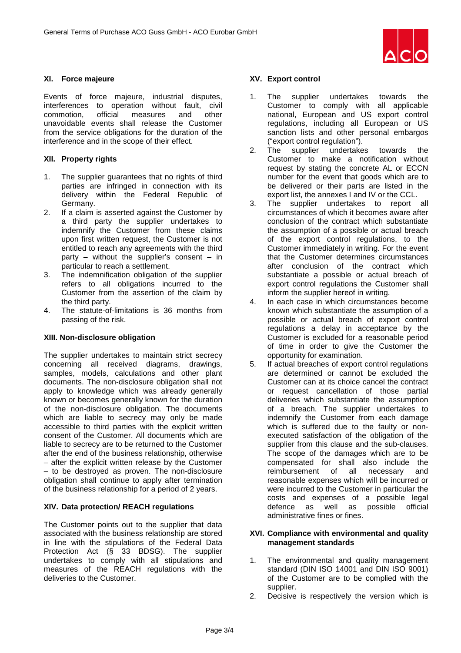

# **XI. Force majeure**

Events of force majeure, industrial disputes, interferences to operation without fault, civil commotion, official measures and other unavoidable events shall release the Customer from the service obligations for the duration of the interference and in the scope of their effect.

# **XII. Property rights**

- 1. The supplier guarantees that no rights of third parties are infringed in connection with its delivery within the Federal Republic of Germany.
- 2. If a claim is asserted against the Customer by a third party the supplier undertakes to indemnify the Customer from these claims upon first written request, the Customer is not entitled to reach any agreements with the third party – without the supplier's consent – in particular to reach a settlement.
- 3. The indemnification obligation of the supplier refers to all obligations incurred to the Customer from the assertion of the claim by the third party.
- 4. The statute-of-limitations is 36 months from passing of the risk.

# **XIII. Non-disclosure obligation**

The supplier undertakes to maintain strict secrecy concerning all received diagrams, drawings, samples, models, calculations and other plant documents. The non-disclosure obligation shall not apply to knowledge which was already generally known or becomes generally known for the duration of the non-disclosure obligation. The documents which are liable to secrecy may only be made accessible to third parties with the explicit written consent of the Customer. All documents which are liable to secrecy are to be returned to the Customer after the end of the business relationship, otherwise – after the explicit written release by the Customer – to be destroyed as proven. The non-disclosure obligation shall continue to apply after termination of the business relationship for a period of 2 years.

# **XIV. Data protection/ REACH regulations**

The Customer points out to the supplier that data associated with the business relationship are stored in line with the stipulations of the Federal Data Protection Act (§ 33 BDSG). The supplier undertakes to comply with all stipulations and measures of the REACH regulations with the deliveries to the Customer.

### **XV. Export control**

- 1. The supplier undertakes towards the Customer to comply with all applicable national, European and US export control regulations, including all European or US sanction lists and other personal embargos ("export control regulation").
- 2. The supplier undertakes towards the Customer to make a notification without request by stating the concrete AL or ECCN number for the event that goods which are to be delivered or their parts are listed in the export list, the annexes I and IV or the CCL.
- 3. The supplier undertakes to report all circumstances of which it becomes aware after conclusion of the contract which substantiate the assumption of a possible or actual breach of the export control regulations, to the Customer immediately in writing. For the event that the Customer determines circumstances after conclusion of the contract which substantiate a possible or actual breach of export control regulations the Customer shall inform the supplier hereof in writing.
- 4. In each case in which circumstances become known which substantiate the assumption of a possible or actual breach of export control regulations a delay in acceptance by the Customer is excluded for a reasonable period of time in order to give the Customer the opportunity for examination.
- 5. If actual breaches of export control regulations are determined or cannot be excluded the Customer can at its choice cancel the contract or request cancellation of those partial deliveries which substantiate the assumption of a breach. The supplier undertakes to indemnify the Customer from each damage which is suffered due to the faulty or nonexecuted satisfaction of the obligation of the supplier from this clause and the sub-clauses. The scope of the damages which are to be compensated for shall also include the<br>reimbursement of all necessary and reimbursement of all reasonable expenses which will be incurred or were incurred to the Customer in particular the costs and expenses of a possible legal defence as well as possible official administrative fines or fines.

### **XVI. Compliance with environmental and quality management standards**

- 1. The environmental and quality management standard (DIN ISO 14001 and DIN ISO 9001) of the Customer are to be complied with the supplier.
- 2. Decisive is respectively the version which is